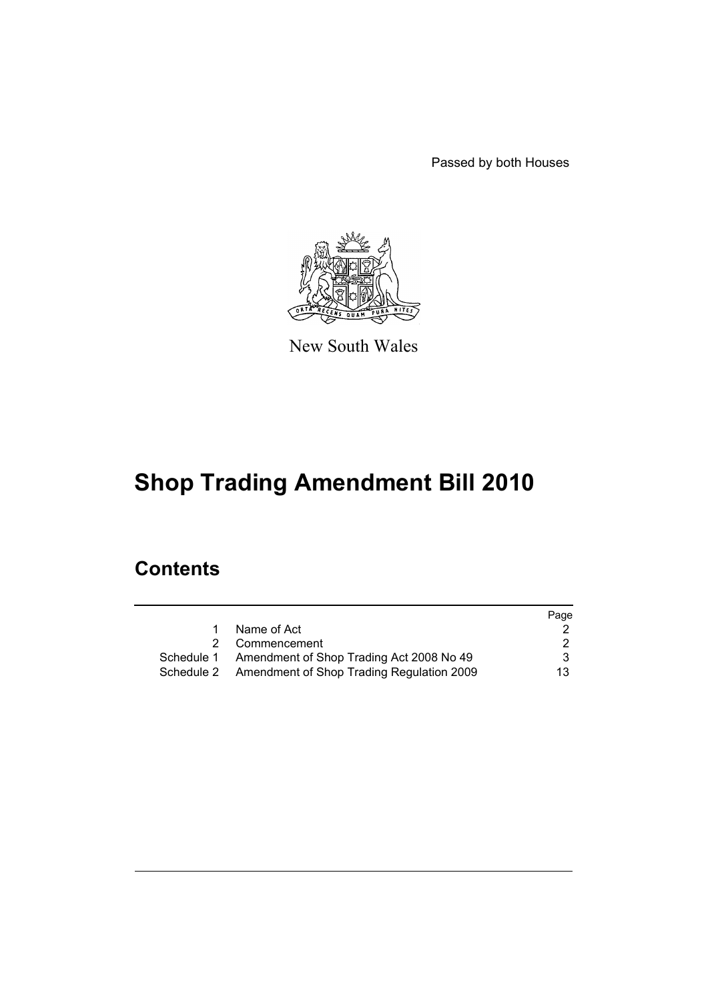Passed by both Houses



New South Wales

# **Shop Trading Amendment Bill 2010**

# **Contents**

|             |                                                      | Page |
|-------------|------------------------------------------------------|------|
| $\mathbf 1$ | Name of Act                                          |      |
| $2^{\circ}$ | Commencement                                         | 2    |
|             | Schedule 1 Amendment of Shop Trading Act 2008 No 49  | 3    |
|             | Schedule 2 Amendment of Shop Trading Regulation 2009 | 13.  |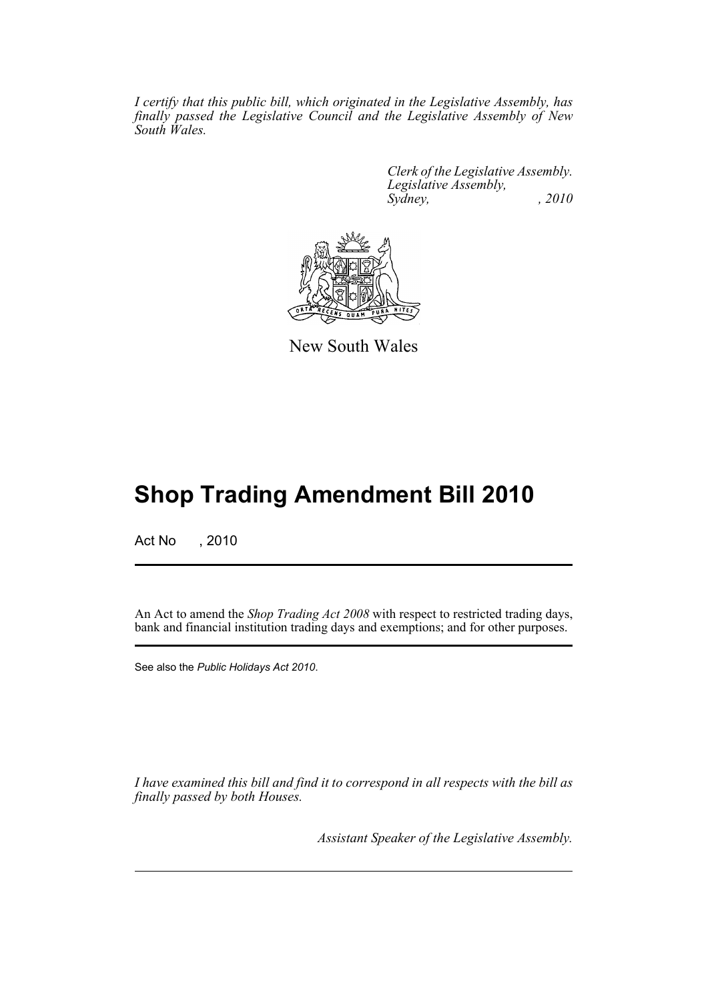*I certify that this public bill, which originated in the Legislative Assembly, has finally passed the Legislative Council and the Legislative Assembly of New South Wales.*

> *Clerk of the Legislative Assembly. Legislative Assembly, Sydney, , 2010*



New South Wales

# **Shop Trading Amendment Bill 2010**

Act No , 2010

An Act to amend the *Shop Trading Act 2008* with respect to restricted trading days, bank and financial institution trading days and exemptions; and for other purposes.

See also the *Public Holidays Act 2010*.

*I have examined this bill and find it to correspond in all respects with the bill as finally passed by both Houses.*

*Assistant Speaker of the Legislative Assembly.*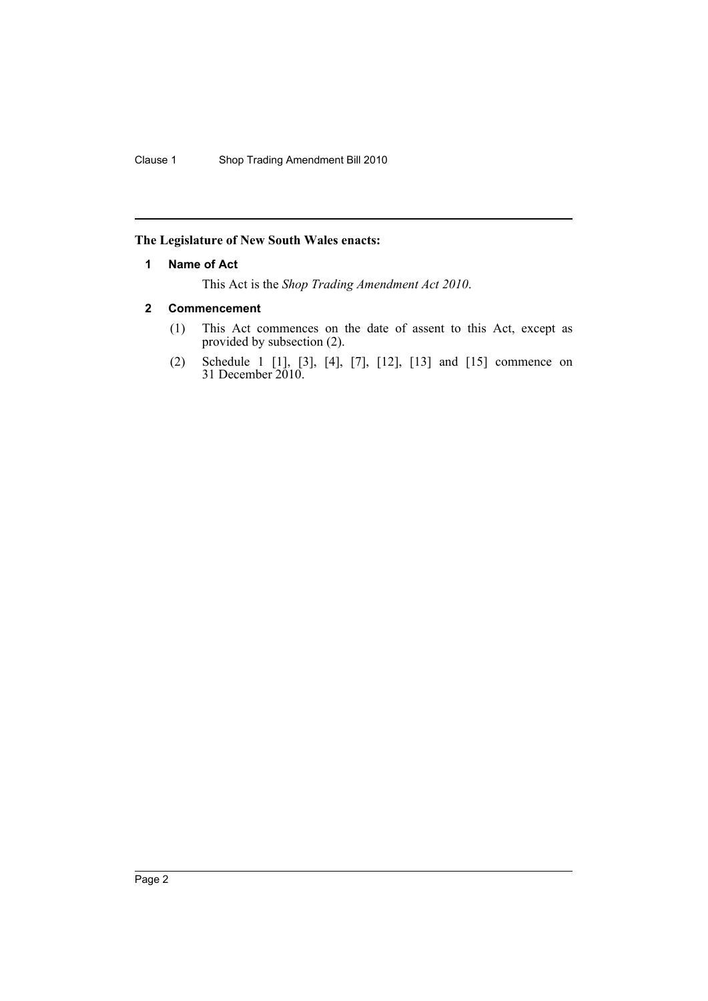# <span id="page-2-0"></span>**The Legislature of New South Wales enacts:**

#### **1 Name of Act**

This Act is the *Shop Trading Amendment Act 2010*.

#### <span id="page-2-1"></span>**2 Commencement**

- (1) This Act commences on the date of assent to this Act, except as provided by subsection (2).
- (2) Schedule 1 [1], [3], [4], [7], [12], [13] and [15] commence on 31 December 2010.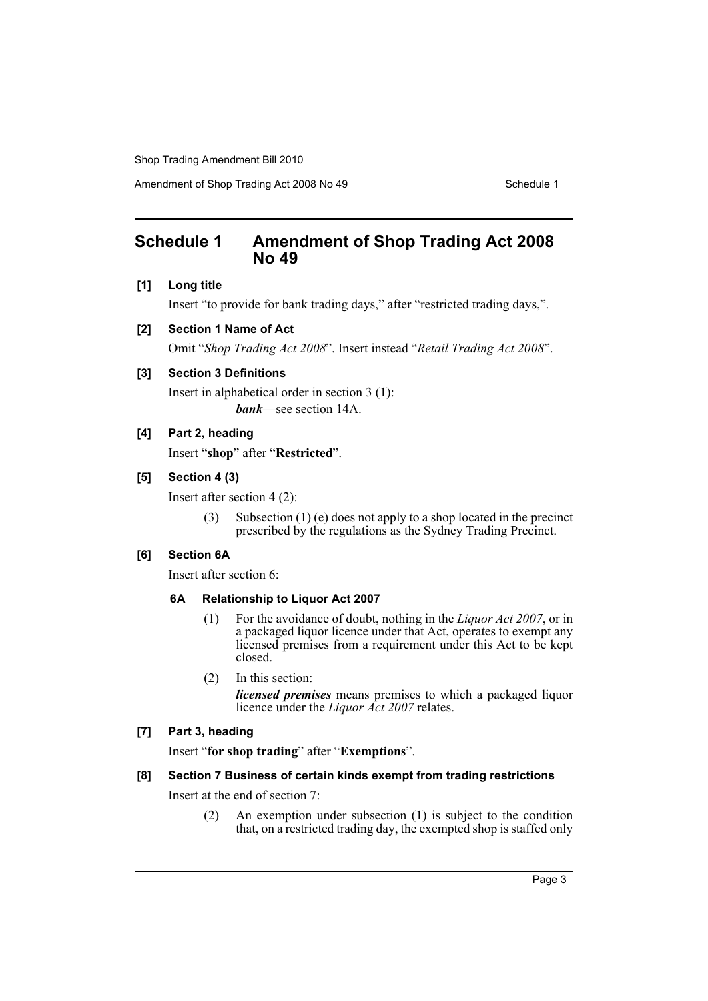Amendment of Shop Trading Act 2008 No 49 Schedule 1

# <span id="page-3-0"></span>**Schedule 1 Amendment of Shop Trading Act 2008 No 49**

# **[1] Long title**

Insert "to provide for bank trading days," after "restricted trading days,".

# **[2] Section 1 Name of Act**

Omit "*Shop Trading Act 2008*". Insert instead "*Retail Trading Act 2008*".

# **[3] Section 3 Definitions**

Insert in alphabetical order in section 3 (1): *bank*—see section 14A.

# **[4] Part 2, heading**

Insert "**shop**" after "**Restricted**".

# **[5] Section 4 (3)**

Insert after section 4 (2):

(3) Subsection (1) (e) does not apply to a shop located in the precinct prescribed by the regulations as the Sydney Trading Precinct.

# **[6] Section 6A**

Insert after section 6:

# **6A Relationship to Liquor Act 2007**

- (1) For the avoidance of doubt, nothing in the *Liquor Act 2007*, or in a packaged liquor licence under that Act, operates to exempt any licensed premises from a requirement under this Act to be kept closed.
- (2) In this section:

*licensed premises* means premises to which a packaged liquor licence under the *Liquor Act 2007* relates.

# **[7] Part 3, heading**

Insert "**for shop trading**" after "**Exemptions**".

# **[8] Section 7 Business of certain kinds exempt from trading restrictions**

Insert at the end of section 7:

(2) An exemption under subsection (1) is subject to the condition that, on a restricted trading day, the exempted shop is staffed only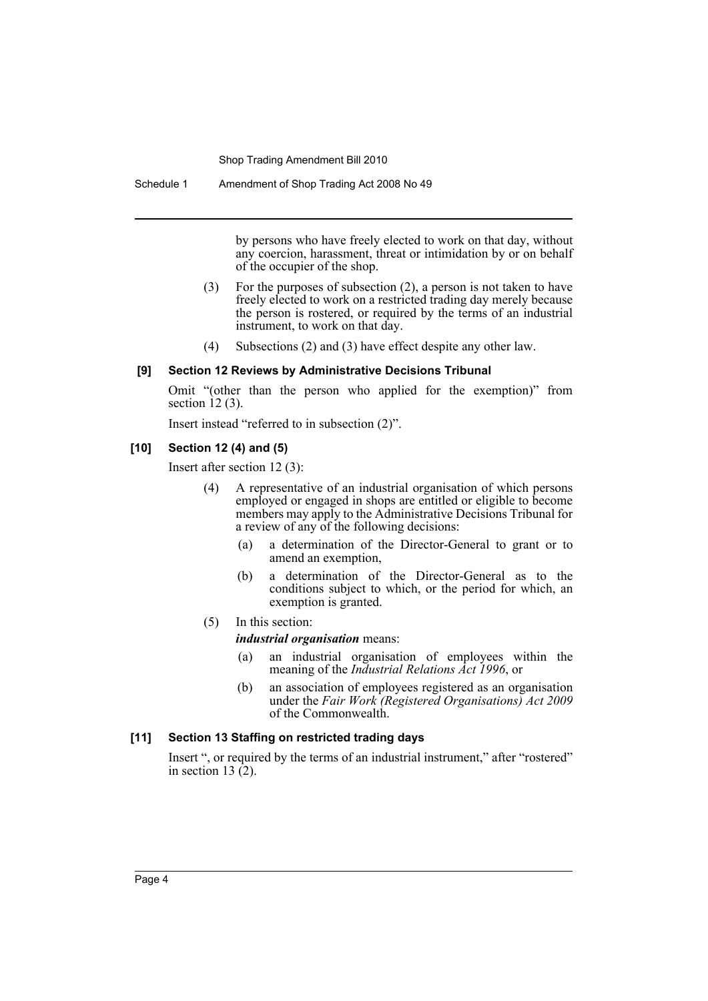Schedule 1 Amendment of Shop Trading Act 2008 No 49

by persons who have freely elected to work on that day, without any coercion, harassment, threat or intimidation by or on behalf of the occupier of the shop.

- (3) For the purposes of subsection (2), a person is not taken to have freely elected to work on a restricted trading day merely because the person is rostered, or required by the terms of an industrial instrument, to work on that day.
- (4) Subsections (2) and (3) have effect despite any other law.

#### **[9] Section 12 Reviews by Administrative Decisions Tribunal**

Omit "(other than the person who applied for the exemption)" from section  $12(3)$ .

Insert instead "referred to in subsection (2)".

# **[10] Section 12 (4) and (5)**

Insert after section 12 (3):

- (4) A representative of an industrial organisation of which persons employed or engaged in shops are entitled or eligible to become members may apply to the Administrative Decisions Tribunal for a review of any of the following decisions:
	- (a) a determination of the Director-General to grant or to amend an exemption,
	- (b) a determination of the Director-General as to the conditions subject to which, or the period for which, an exemption is granted.

# (5) In this section:

*industrial organisation* means:

- (a) an industrial organisation of employees within the meaning of the *Industrial Relations Act 1996*, or
- (b) an association of employees registered as an organisation under the *Fair Work (Registered Organisations) Act 2009* of the Commonwealth.

#### **[11] Section 13 Staffing on restricted trading days**

Insert ", or required by the terms of an industrial instrument," after "rostered" in section 13 $(2)$ .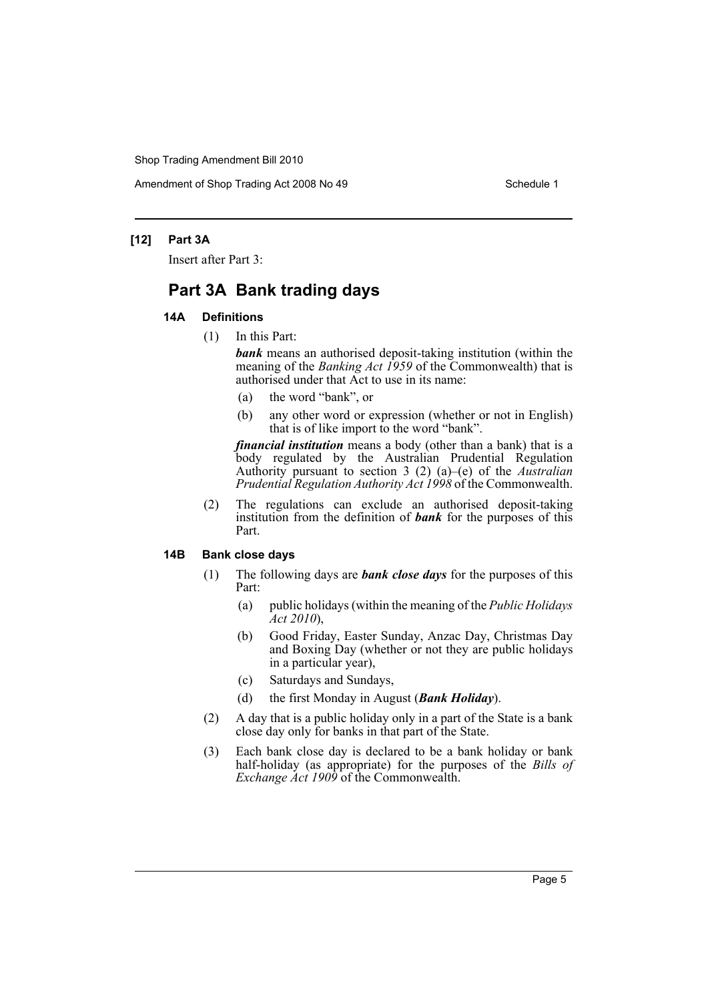Amendment of Shop Trading Act 2008 No 49 Schedule 1

#### **[12] Part 3A**

Insert after Part 3:

# **Part 3A Bank trading days**

#### **14A Definitions**

(1) In this Part:

*bank* means an authorised deposit-taking institution (within the meaning of the *Banking Act 1959* of the Commonwealth) that is authorised under that Act to use in its name:

- (a) the word "bank", or
- (b) any other word or expression (whether or not in English) that is of like import to the word "bank".

*financial institution* means a body (other than a bank) that is a body regulated by the Australian Prudential Regulation Authority pursuant to section 3 (2) (a)–(e) of the *Australian Prudential Regulation Authority Act 1998* of the Commonwealth.

(2) The regulations can exclude an authorised deposit-taking institution from the definition of *bank* for the purposes of this Part.

# **14B Bank close days**

- (1) The following days are *bank close days* for the purposes of this Part:
	- (a) public holidays (within the meaning of the *Public Holidays Act 2010*),
	- (b) Good Friday, Easter Sunday, Anzac Day, Christmas Day and Boxing Day (whether or not they are public holidays in a particular year),
	- (c) Saturdays and Sundays,
	- (d) the first Monday in August (*Bank Holiday*).
- (2) A day that is a public holiday only in a part of the State is a bank close day only for banks in that part of the State.
- (3) Each bank close day is declared to be a bank holiday or bank half-holiday (as appropriate) for the purposes of the *Bills of Exchange Act 1909* of the Commonwealth.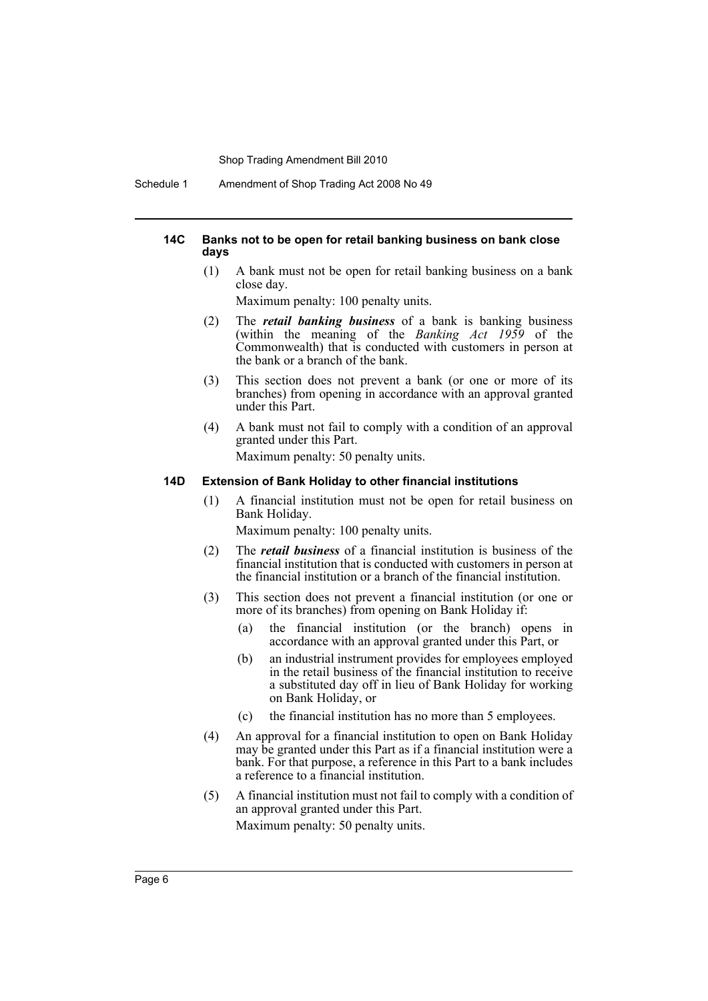Schedule 1 Amendment of Shop Trading Act 2008 No 49

#### **14C Banks not to be open for retail banking business on bank close days**

(1) A bank must not be open for retail banking business on a bank close day.

Maximum penalty: 100 penalty units.

- (2) The *retail banking business* of a bank is banking business (within the meaning of the *Banking Act 1959* of the Commonwealth) that is conducted with customers in person at the bank or a branch of the bank.
- (3) This section does not prevent a bank (or one or more of its branches) from opening in accordance with an approval granted under this Part.
- (4) A bank must not fail to comply with a condition of an approval granted under this Part. Maximum penalty: 50 penalty units.

# **14D Extension of Bank Holiday to other financial institutions**

(1) A financial institution must not be open for retail business on Bank Holiday.

Maximum penalty: 100 penalty units.

- (2) The *retail business* of a financial institution is business of the financial institution that is conducted with customers in person at the financial institution or a branch of the financial institution.
- (3) This section does not prevent a financial institution (or one or more of its branches) from opening on Bank Holiday if:
	- (a) the financial institution (or the branch) opens in accordance with an approval granted under this Part, or
	- (b) an industrial instrument provides for employees employed in the retail business of the financial institution to receive a substituted day off in lieu of Bank Holiday for working on Bank Holiday, or
	- (c) the financial institution has no more than 5 employees.
- (4) An approval for a financial institution to open on Bank Holiday may be granted under this Part as if a financial institution were a bank. For that purpose, a reference in this Part to a bank includes a reference to a financial institution.
- (5) A financial institution must not fail to comply with a condition of an approval granted under this Part. Maximum penalty: 50 penalty units.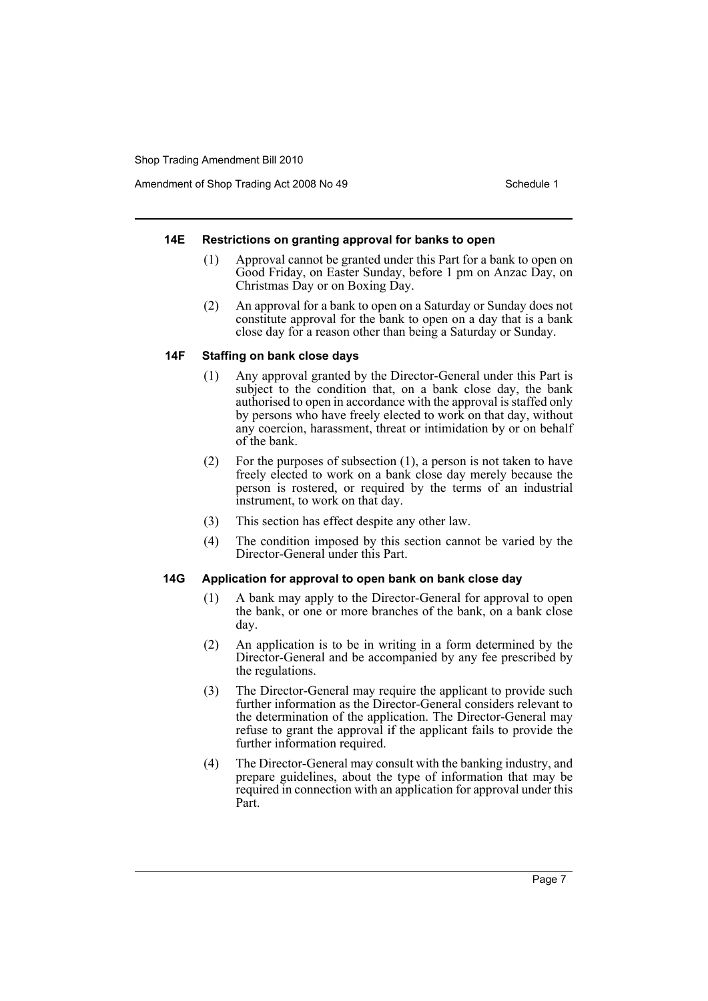Amendment of Shop Trading Act 2008 No 49 Schedule 1

#### **14E Restrictions on granting approval for banks to open**

- (1) Approval cannot be granted under this Part for a bank to open on Good Friday, on Easter Sunday, before 1 pm on Anzac Day, on Christmas Day or on Boxing Day.
- (2) An approval for a bank to open on a Saturday or Sunday does not constitute approval for the bank to open on a day that is a bank close day for a reason other than being a Saturday or Sunday.

#### **14F Staffing on bank close days**

- (1) Any approval granted by the Director-General under this Part is subject to the condition that, on a bank close day, the bank authorised to open in accordance with the approval is staffed only by persons who have freely elected to work on that day, without any coercion, harassment, threat or intimidation by or on behalf of the bank.
- (2) For the purposes of subsection (1), a person is not taken to have freely elected to work on a bank close day merely because the person is rostered, or required by the terms of an industrial instrument, to work on that day.
- (3) This section has effect despite any other law.
- (4) The condition imposed by this section cannot be varied by the Director-General under this Part.

# **14G Application for approval to open bank on bank close day**

- (1) A bank may apply to the Director-General for approval to open the bank, or one or more branches of the bank, on a bank close day.
- (2) An application is to be in writing in a form determined by the Director-General and be accompanied by any fee prescribed by the regulations.
- (3) The Director-General may require the applicant to provide such further information as the Director-General considers relevant to the determination of the application. The Director-General may refuse to grant the approval if the applicant fails to provide the further information required.
- (4) The Director-General may consult with the banking industry, and prepare guidelines, about the type of information that may be required in connection with an application for approval under this Part.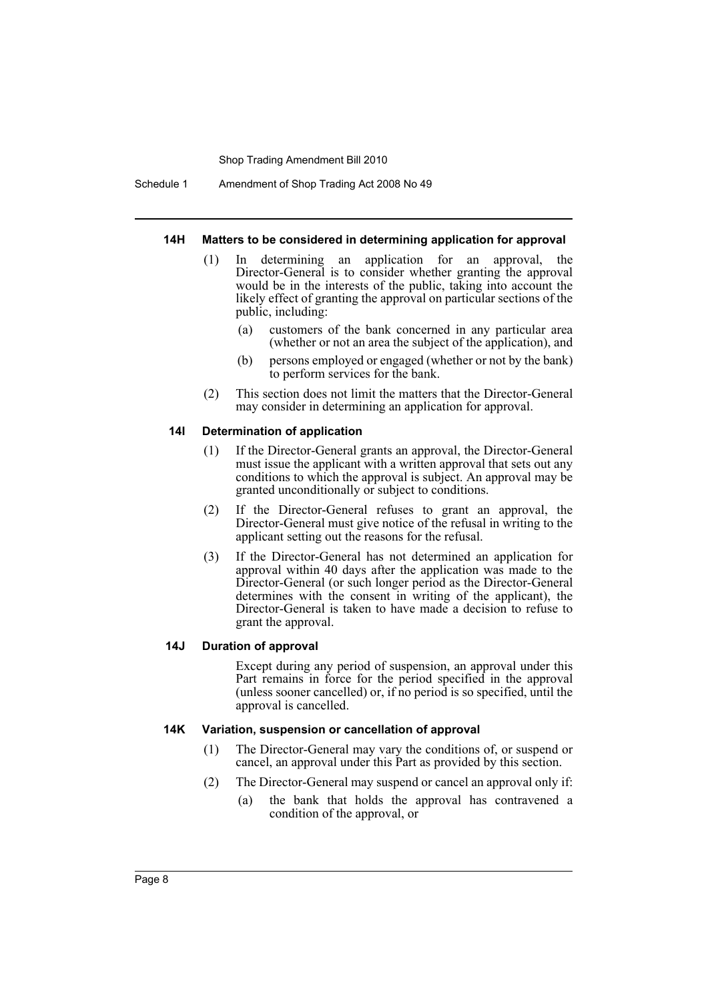Schedule 1 Amendment of Shop Trading Act 2008 No 49

#### **14H Matters to be considered in determining application for approval**

- (1) In determining an application for an approval, the Director-General is to consider whether granting the approval would be in the interests of the public, taking into account the likely effect of granting the approval on particular sections of the public, including:
	- (a) customers of the bank concerned in any particular area (whether or not an area the subject of the application), and
	- (b) persons employed or engaged (whether or not by the bank) to perform services for the bank.
- (2) This section does not limit the matters that the Director-General may consider in determining an application for approval.

#### **14I Determination of application**

- (1) If the Director-General grants an approval, the Director-General must issue the applicant with a written approval that sets out any conditions to which the approval is subject. An approval may be granted unconditionally or subject to conditions.
- (2) If the Director-General refuses to grant an approval, the Director-General must give notice of the refusal in writing to the applicant setting out the reasons for the refusal.
- (3) If the Director-General has not determined an application for approval within 40 days after the application was made to the Director-General (or such longer period as the Director-General determines with the consent in writing of the applicant), the Director-General is taken to have made a decision to refuse to grant the approval.

#### **14J Duration of approval**

Except during any period of suspension, an approval under this Part remains in force for the period specified in the approval (unless sooner cancelled) or, if no period is so specified, until the approval is cancelled.

#### **14K Variation, suspension or cancellation of approval**

- (1) The Director-General may vary the conditions of, or suspend or cancel, an approval under this Part as provided by this section.
- (2) The Director-General may suspend or cancel an approval only if:
	- (a) the bank that holds the approval has contravened a condition of the approval, or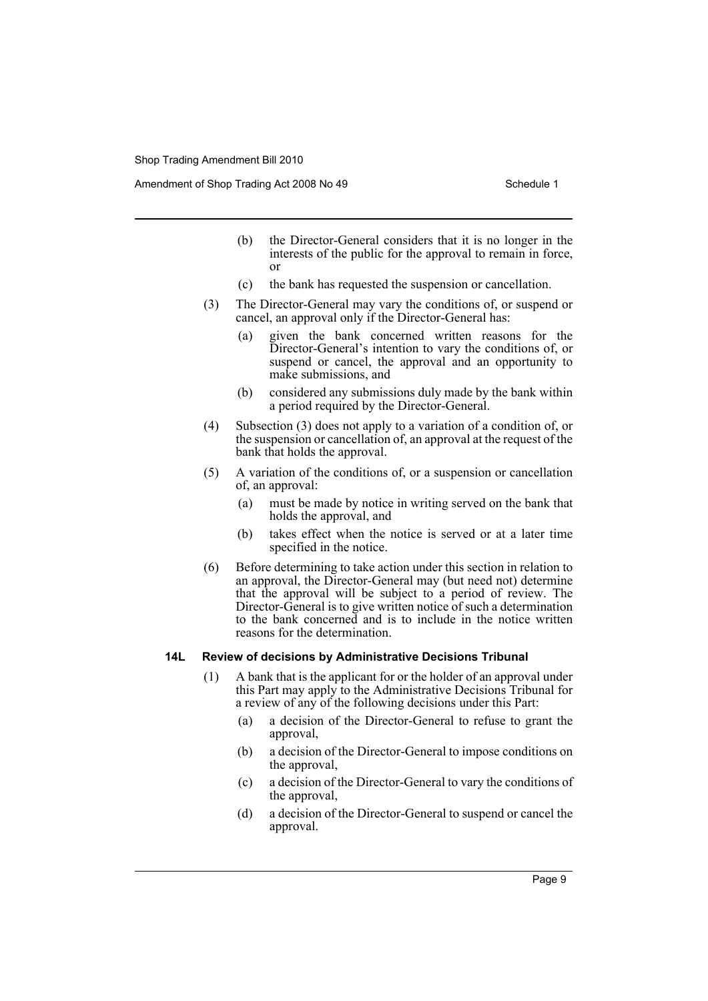Amendment of Shop Trading Act 2008 No 49 Schedule 1

- (b) the Director-General considers that it is no longer in the interests of the public for the approval to remain in force, or
- (c) the bank has requested the suspension or cancellation.
- (3) The Director-General may vary the conditions of, or suspend or cancel, an approval only if the Director-General has:
	- (a) given the bank concerned written reasons for the Director-General's intention to vary the conditions of, or suspend or cancel, the approval and an opportunity to make submissions, and
	- (b) considered any submissions duly made by the bank within a period required by the Director-General.
- (4) Subsection (3) does not apply to a variation of a condition of, or the suspension or cancellation of, an approval at the request of the bank that holds the approval.
- (5) A variation of the conditions of, or a suspension or cancellation of, an approval:
	- (a) must be made by notice in writing served on the bank that holds the approval, and
	- (b) takes effect when the notice is served or at a later time specified in the notice.
- (6) Before determining to take action under this section in relation to an approval, the Director-General may (but need not) determine that the approval will be subject to a period of review. The Director-General is to give written notice of such a determination to the bank concerned and is to include in the notice written reasons for the determination.

#### **14L Review of decisions by Administrative Decisions Tribunal**

- (1) A bank that is the applicant for or the holder of an approval under this Part may apply to the Administrative Decisions Tribunal for a review of any of the following decisions under this Part:
	- (a) a decision of the Director-General to refuse to grant the approval,
	- (b) a decision of the Director-General to impose conditions on the approval,
	- (c) a decision of the Director-General to vary the conditions of the approval,
	- (d) a decision of the Director-General to suspend or cancel the approval.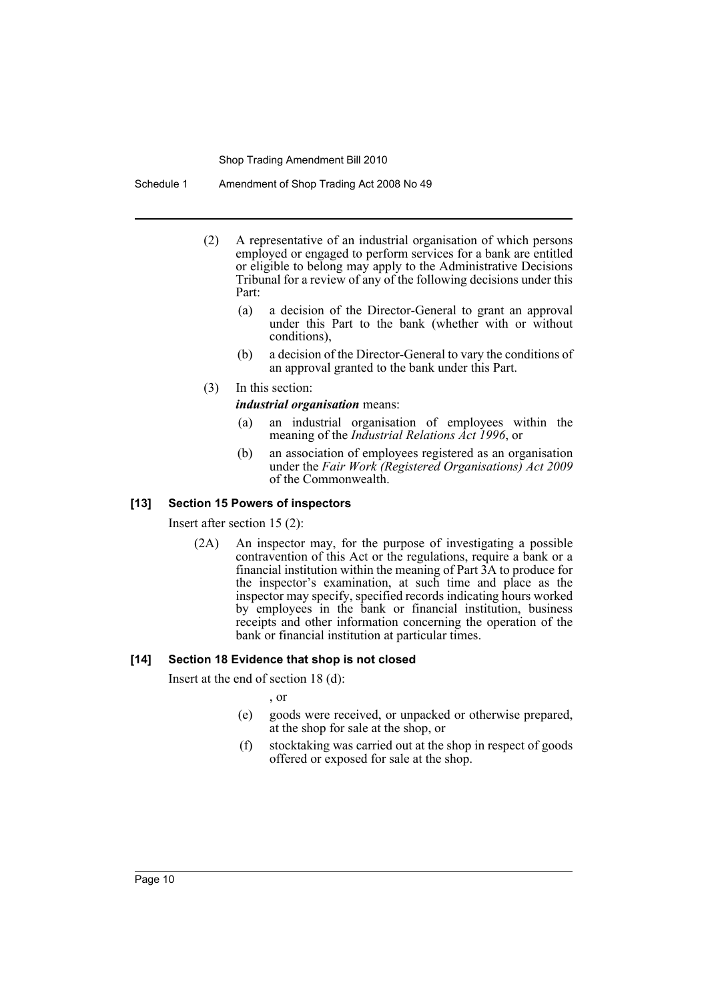Schedule 1 Amendment of Shop Trading Act 2008 No 49

- (2) A representative of an industrial organisation of which persons employed or engaged to perform services for a bank are entitled or eligible to belong may apply to the Administrative Decisions Tribunal for a review of any of the following decisions under this Part:
	- (a) a decision of the Director-General to grant an approval under this Part to the bank (whether with or without conditions),
	- (b) a decision of the Director-General to vary the conditions of an approval granted to the bank under this Part.
- (3) In this section:

#### *industrial organisation* means:

- (a) an industrial organisation of employees within the meaning of the *Industrial Relations Act 1996*, or
- (b) an association of employees registered as an organisation under the *Fair Work (Registered Organisations) Act 2009* of the Commonwealth.

# **[13] Section 15 Powers of inspectors**

Insert after section 15 (2):

(2A) An inspector may, for the purpose of investigating a possible contravention of this Act or the regulations, require a bank or a financial institution within the meaning of Part 3A to produce for the inspector's examination, at such time and place as the inspector may specify, specified records indicating hours worked by employees in the bank or financial institution, business receipts and other information concerning the operation of the bank or financial institution at particular times.

# **[14] Section 18 Evidence that shop is not closed**

Insert at the end of section 18 (d):

, or

- (e) goods were received, or unpacked or otherwise prepared, at the shop for sale at the shop, or
- (f) stocktaking was carried out at the shop in respect of goods offered or exposed for sale at the shop.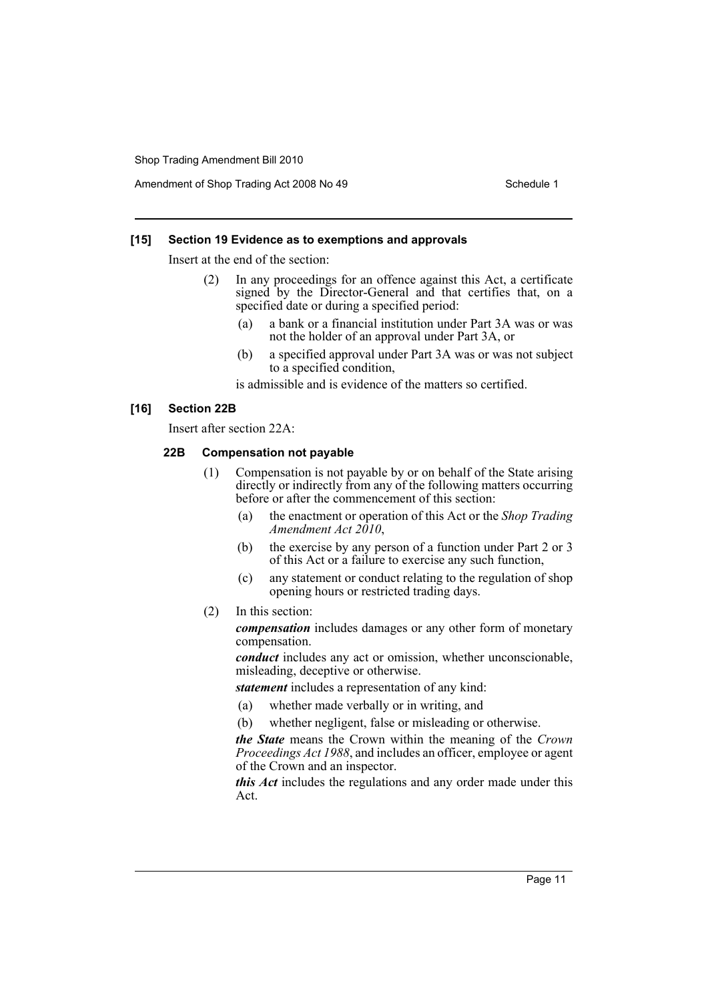#### **[15] Section 19 Evidence as to exemptions and approvals**

Insert at the end of the section:

- (2) In any proceedings for an offence against this Act, a certificate signed by the Director-General and that certifies that, on a specified date or during a specified period:
	- (a) a bank or a financial institution under Part 3A was or was not the holder of an approval under Part 3A, or
	- (b) a specified approval under Part 3A was or was not subject to a specified condition,

is admissible and is evidence of the matters so certified.

#### **[16] Section 22B**

Insert after section 22A:

### **22B Compensation not payable**

- (1) Compensation is not payable by or on behalf of the State arising directly or indirectly from any of the following matters occurring before or after the commencement of this section:
	- (a) the enactment or operation of this Act or the *Shop Trading Amendment Act 2010*,
	- (b) the exercise by any person of a function under Part 2 or 3 of this Act or a failure to exercise any such function,
	- (c) any statement or conduct relating to the regulation of shop opening hours or restricted trading days.
- (2) In this section:

*compensation* includes damages or any other form of monetary compensation.

*conduct* includes any act or omission, whether unconscionable, misleading, deceptive or otherwise.

*statement* includes a representation of any kind:

- (a) whether made verbally or in writing, and
- (b) whether negligent, false or misleading or otherwise.

*the State* means the Crown within the meaning of the *Crown Proceedings Act 1988*, and includes an officer, employee or agent of the Crown and an inspector.

*this Act* includes the regulations and any order made under this Act.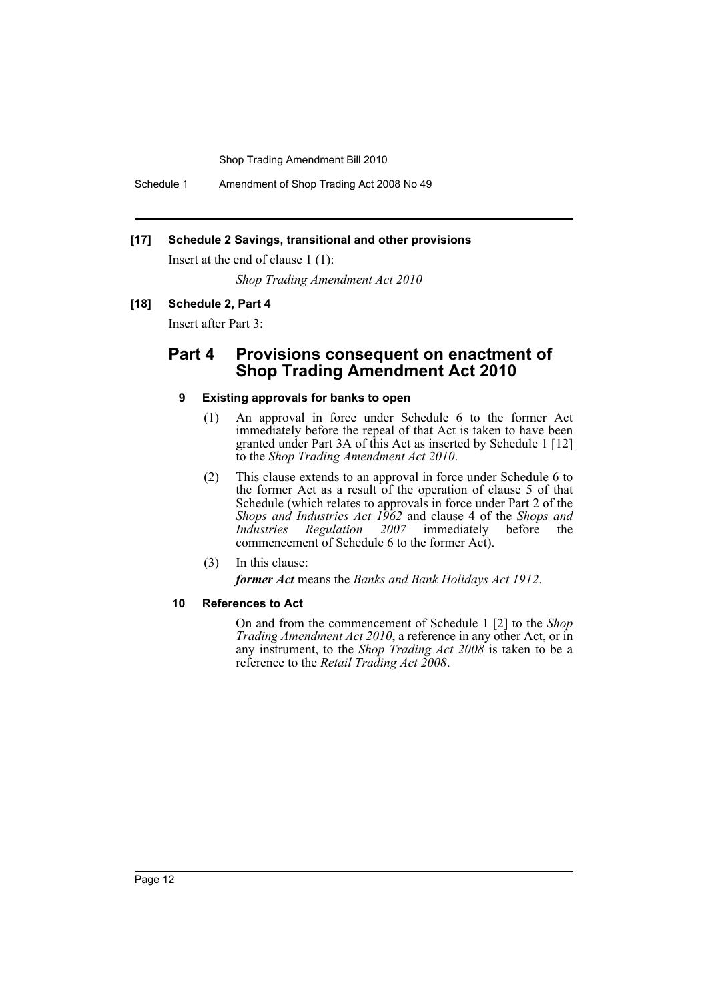Schedule 1 Amendment of Shop Trading Act 2008 No 49

#### **[17] Schedule 2 Savings, transitional and other provisions**

Insert at the end of clause 1 (1):

*Shop Trading Amendment Act 2010*

# **[18] Schedule 2, Part 4**

Insert after Part 3:

# **Part 4 Provisions consequent on enactment of Shop Trading Amendment Act 2010**

# **9 Existing approvals for banks to open**

- (1) An approval in force under Schedule 6 to the former Act immediately before the repeal of that Act is taken to have been granted under Part 3A of this Act as inserted by Schedule 1 [12] to the *Shop Trading Amendment Act 2010*.
- (2) This clause extends to an approval in force under Schedule 6 to the former Act as a result of the operation of clause 5 of that Schedule (which relates to approvals in force under Part 2 of the *Shops and Industries Act 1962* and clause 4 of the *Shops and Industries Regulation 2007* immediately before the commencement of Schedule 6 to the former Act).
- (3) In this clause:
	- *former Act* means the *Banks and Bank Holidays Act 1912*.

# **10 References to Act**

On and from the commencement of Schedule 1 [2] to the *Shop Trading Amendment Act 2010*, a reference in any other Act, or in any instrument, to the *Shop Trading Act 2008* is taken to be a reference to the *Retail Trading Act 2008*.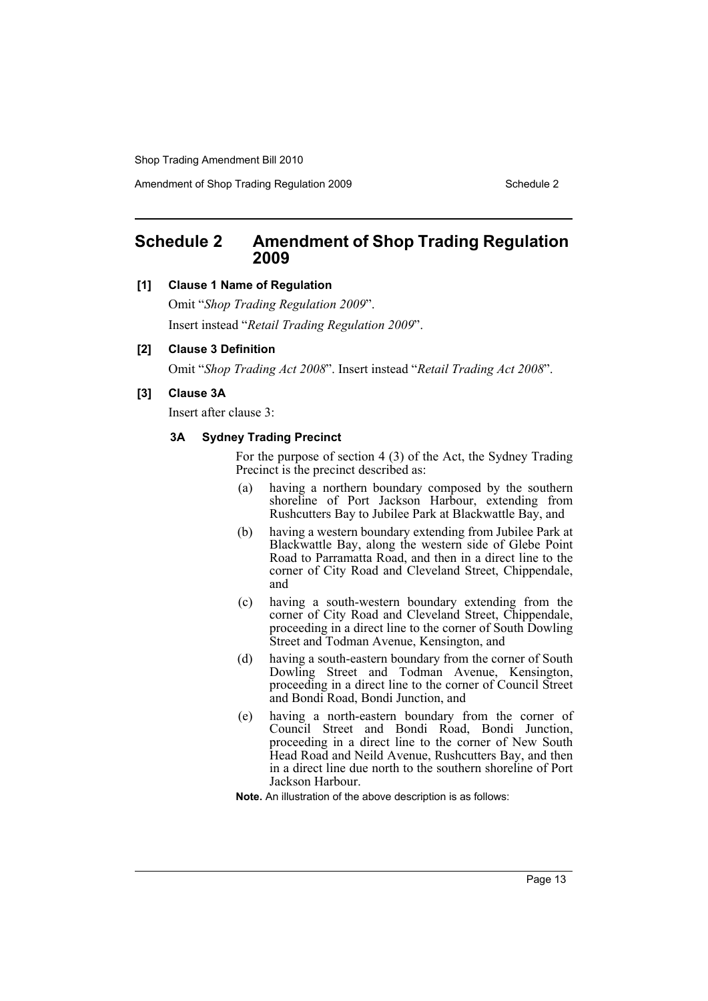Amendment of Shop Trading Regulation 2009 Schedule 2

# <span id="page-13-0"></span>**Schedule 2 Amendment of Shop Trading Regulation 2009**

#### **[1] Clause 1 Name of Regulation**

Omit "*Shop Trading Regulation 2009*". Insert instead "*Retail Trading Regulation 2009*".

#### **[2] Clause 3 Definition**

Omit "*Shop Trading Act 2008*". Insert instead "*Retail Trading Act 2008*".

#### **[3] Clause 3A**

Insert after clause 3:

### **3A Sydney Trading Precinct**

For the purpose of section 4 (3) of the Act, the Sydney Trading Precinct is the precinct described as:

- (a) having a northern boundary composed by the southern shoreline of Port Jackson Harbour, extending from Rushcutters Bay to Jubilee Park at Blackwattle Bay, and
- (b) having a western boundary extending from Jubilee Park at Blackwattle Bay, along the western side of Glebe Point Road to Parramatta Road, and then in a direct line to the corner of City Road and Cleveland Street, Chippendale, and
- (c) having a south-western boundary extending from the corner of City Road and Cleveland Street, Chippendale, proceeding in a direct line to the corner of South Dowling Street and Todman Avenue, Kensington, and
- (d) having a south-eastern boundary from the corner of South Dowling Street and Todman Avenue, Kensington, proceeding in a direct line to the corner of Council Street and Bondi Road, Bondi Junction, and
- (e) having a north-eastern boundary from the corner of Council Street and Bondi Road, Bondi Junction, proceeding in a direct line to the corner of New South Head Road and Neild Avenue, Rushcutters Bay, and then in a direct line due north to the southern shoreline of Port Jackson Harbour.

**Note.** An illustration of the above description is as follows: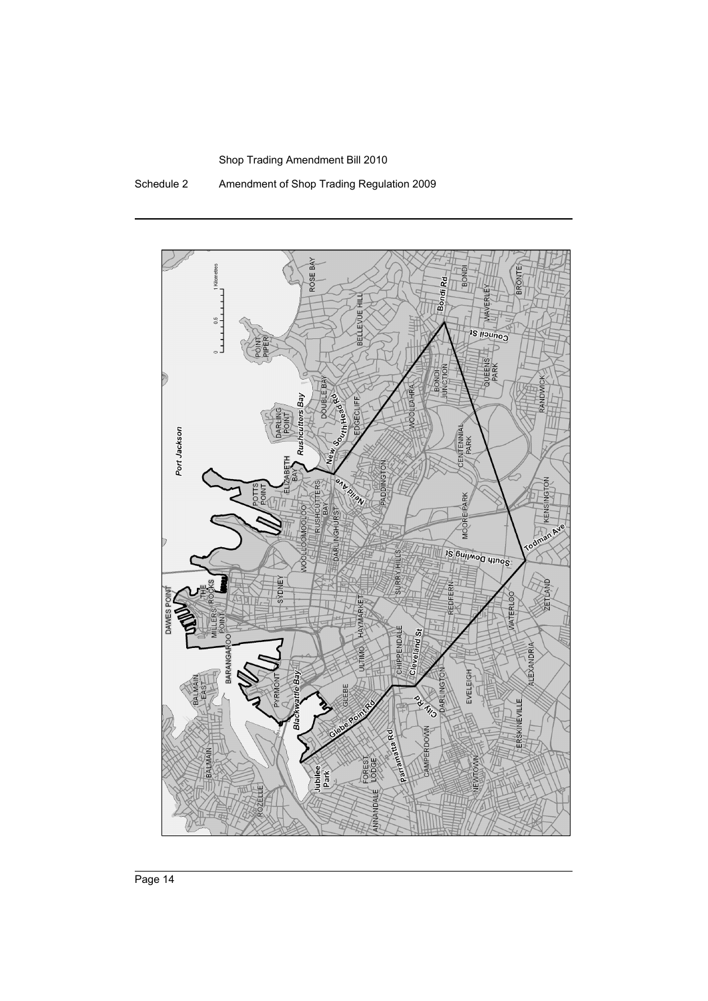Schedule 2 Amendment of Shop Trading Regulation 2009